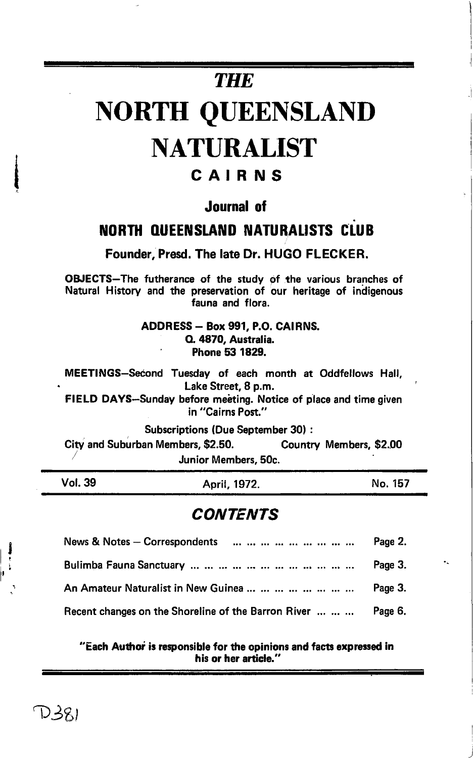# **THE**

# NORTH QUEENSLAND **NATURALIST**

## CAIRNS

### Journal of

## NORTH QUEENSLAND NATURALISTS CLUB

Founder, Presd. The late Dr. HUGO FLECKER.

OBJECTS-The futherance of the study of the various branches of Natural History and the preservation of our heritage of indigenous fauna and flora.

> ADDRESS - Box 991, P.O. CAIRNS. O. 4870, Australia. Phone 53 1829.

MEETINGS-Second Tuesday of each month at Oddfellows Hall, . Lake Street, S p.m.

FIELD DAYS-Sunday before meeting. Notice of place and time given in "Cairns Post."

Subscriptions (Due September 30) :

City and Suburban Members, \$2.50. Country Members, \$2.00<br>Junior Members, 50c.

Vol.39 April,1972. No. 157

## **CONTENTS**

| J<br>$\frac{1}{2}$ | News & Notes $-$ Correspondents                     | Page 2. |
|--------------------|-----------------------------------------------------|---------|
|                    |                                                     | Page 3. |
| $\mathbb{R}^2$     | An Amateur Naturalist in New Guinea                 | Page 3. |
|                    | Recent changes on the Shoreline of the Barron River | Page 6. |

 $\cdot$  Each Author is responsible for the opinions and facts expressed in his or her article.'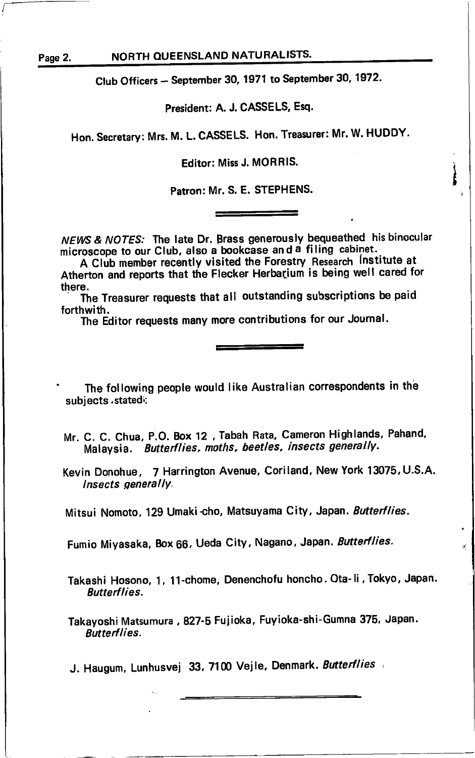#### Page 2. NORTH QUEENSLAND NATURALISTS.

Club Officers - September 30, 1971 to September 30, 1972.

#### President: A. J. CASSELS, Esa.

Hon. Secretary: Mrs. M. L. CASSELS. Hon. Treasurer: Mr. W. HUDDY.

Editor: Miss J. MORRIS.

Patron: Mr. S. E. STEPHENS.

NEWS & NOTES: The late Dr. Brass generously bequeathed his binocular microscope to our Club, also a bookcase and a filing cabinet.

A Club member recently visited the Forestry Research Institute at Atherton and reports that the Flecker Herbarium is being well cared for there.

there.<br>The Treasurer requests that all outstanding subscriptions be paid forthwith.

The Editor requests many more contributions for our Journal.

The following people would like Australian correspondents in the subjects . statedl:

Mr. C. C. Chua, P.O. Box 12, Tabah Rata, Cameron Highlands, Pahand, Malaysia. Butterflies, moths, beetles, insects generally.

Kevin Donohue, 7 Harrington Avenue, Coriland, New York 13075, U.S.A. lnsects generallY.

Mitsui Nomoto, 129 Umaki-cho, Matsuyama City, Japan. Butterflies.

Fumio Miyasaka, Box 66, Ueda City, Nagano, Japan. Butterflies.

Takashi Hosono, 1, 11-chome, Denenchofu honcho. Ota-li,Tokyo, Japan. **Butterflies.** 

Takayoshi Matsumura, 827-5 Fujioka, Fuyioka-shi-Gumna 375, Japan. Butterflies.

J. Haugum, Lunhusvej 33, 7100 Vejle, Denmark. Butterflies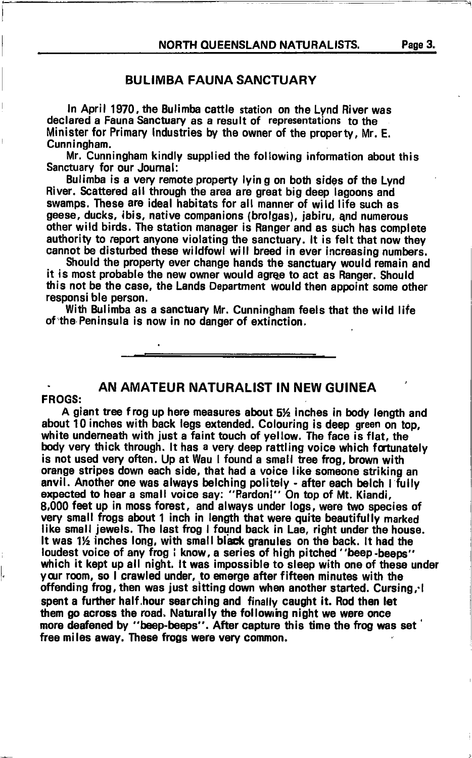#### BULIMBA FAUNA SANCTUARY

In April 1970, the Bulimba cattle station on the Lynd River was declared a Fauna Sanctuary as a result of representations to the Minister for Primary lndustries by the owner of the property, Mr. E. Cunningham.

Mr. Cunningham kindly supplied the following information about this Sanctuary for our Joumal:

Bulimba is a very remote property lyin g on both sides of the Lynd River. Scattered all through the area are great big deep lagoons and swamps. These are ideal habitats for all manner of wild life such as geese, ducks, ibis, native companions (brolgas), jabiru, qnd numerous other wild birds. The station manager is Ranger and as such has complete authority to report anyone violating the sanctuary. lt is felt that now they cannot be disturbed these wildfowl will breed in ever increasing numbers.

Should the property ever change hands the sanctuary would remain at is most probable the new owner would agree to act as Ranger. Should Should the property ever change hands the sanctuary would remain and this not be the case, the Lands Department would then appoint some other responsi ble person.

With Bulimba as a sanctuary Mr. Cunningham feels that the wild life of 'the Peninsula is now in no danger of extinction.

#### . AN AMATEUR NATURALIST IN NEW GUINEA

#### FROGS:

l,

A giant tree frog up here measures about  $5\frac{1}{2}$  inches in body length and about 10 inches with back legs extended. Colouring is deep green on top, white undemeath with just a falnt touch of yellow. The face is flat, the body very thick through. It has a very deep rattling voice which fortunately is not used very often. Up at Wau I found a small tree frog, brown with orange stripes down each side, that had a voice like someone striking an anvil. Another one was always belching politely - after each belch  $\|\cdot\|$ ully expected to hear a small voice say: "Pardoni" On top of Mt. Kiandi, 8,000 feet up in moss forest, and always under logs, were two species of very small frogs about 1 inch in length that were quite beautifully marked like small jewels. The last frog I found back in Lae, right under the house. It was  $1\frac{1}{2}$  inches long, with small black granules on the back. It had the loudest voice of any frog I know, a series of high pitched "beep -beeps" which it kept up all night. It was impossible to sleep with one of these under your room, so I crawled under, to emerge after fifteen minutes with the offending frog, then was just sitting down when another started. Cursing, i spent a further half hour searching and finally caught it. Rod then let them go across the road. Naturally the following night we were once more deafened by "beep-beeps". After capture this time the frog was set free miles away. These frogs were very common.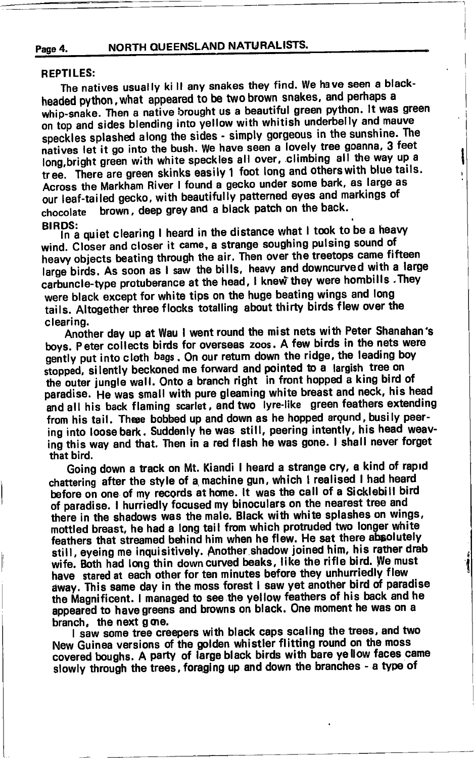NORTH QUEENSLAND NATURALISTS. Page 4.

#### REPTILES:

The natives usually ki ll any snakes they find. we have seen a blackheaded python, what appeared to be two brown snakes, and perhaps a whip-snake. Then a native brought us a beautiful green python. It was green on top and sides blending into yellow with whitish underbelly and mauve speckles splashed along the sides - simply gorgeous in the sunshine. The natives let it go into the bush. We have seen a lovely tree goanna, 3 feet long, bright green with white speckles all over, climbing all the way up a tree. There are green skinks easily 1 foot long and others with blue tails. Across the Markham River I found a gecko under some bark, as large as our leaf-tailed gecko, with beautifully patterned eyes and markings of chocolate brown, deep grey and a black patch on the back.<br>BIRDS:

In a quiet clearing I heard in the distance what I took to be a heavy wind. Closer and closer it came, a strange soughing pulsing sound of heavy objects beating through the air. Then over the treetops came firteen<br>large birds. As soon as I saw the bills, heavy and downcurved with a large heavy objects beating through the air. Then over the treetops came fifteen carbuncle-type protuberance at the head, I knew they were hombills . They were black except for white tips on the huge beating wings and long tails. Altogether three flocks totalling about thirty birds flew over the clearing.

Another day up at Wau I went round the mist nets with Peter Shanahan's boys. Peter collects birds for overseas zoos. A few birds in the nets were gently put into cloth bags. On our return down the ridge, the leading boy stopped, silently beckoned me forward and pointed to a largish tree on the outer jungle wall. Onto a branch right in front hopped a king bird of paradise. He was small with pure gleaming white breast and neck, his head and all his back flaming scarlet, and two lyre-like green feathers extending from his tail. Theee bobbed up and down as he hopped argund, busily peering into loose bark. Suddenly he was still, peering intently, his head weaving this way and that. Then in a red flash he was gone. I shall never forget that bird.

Going down a track on Mt. Kiandi I heard a strange cry, a kind of rapld chattering after the style of a machine gun, which I realised I had heard before on one of my records at home. It was the call of a Sicklebill bird of paradise. I hurriedly focused my binoculars on the nearest tree and there in the shadows was the male. Black with white splashes on wings, mottled breast, he had a long tail from which protruded two longer white feathers that streamed behind him when he flew. He sat there absolutely still, eyeing me inquisitively. Another shadow joined him, his rather drab wife. Both had long thin down curved beaks, like the rifle bird. We must have stared at each other for ten minutes before they unhurriedly flew away. This same day in the moss forest I saw yet another bird of paradise the Magnificent. I managed to see the yellow feathers of his back and he appeared to have greens and browns on black. One moment he was on a branch, the next g one.

I saw some tree creepers with black caps scaling the trees, and two New Guinea versions of the golden whistler flitting round on the moss covered boughs. A party of large black birds with bare yellow faces came slowly through the trees, foraging up and down the branches - a type of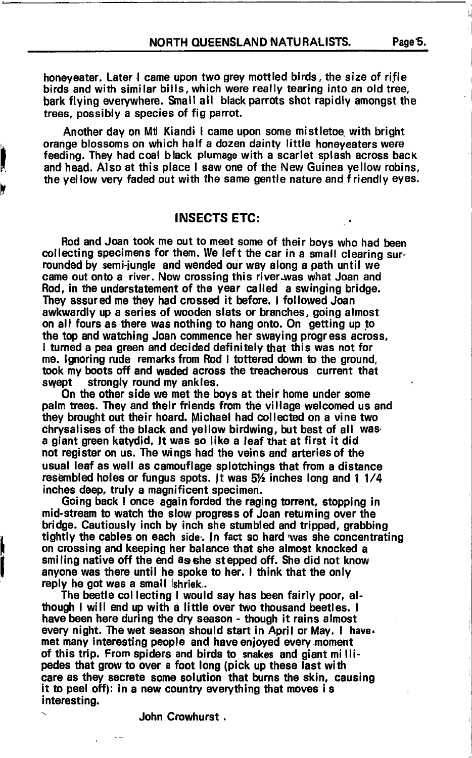honeyeater. Later I came upon two grey mottled birds, the size of rifle birds and with similar bills,which were really tearing into an old tree, bark flying everywhere. Small all black parrots shot rapidly amongst the trees, possibly a species of fig parrot.

Another day on Mt Kiandi I came upon some mistletoe with bright orange blossoms on which half a dozen dainty little honeyeaters were feeding. They had coal black plumage with a scarlet splash across back and head. Also at this place I saw one of the New Guinea yellow robins, the yellow very faded out with the same gentle nature and friendly eyes.

#### INSECTS ETG:

t

Rod and Joan took me out to meet some of their boys who had been collecting specimens for them. We left the car in a small clearing surrounded by semi-jungle and wended our way along a path until we came out onto a river. Now crossing this river was what Joan and Rod. in the understatement of the year called a swinging bridge. They assured me they had crossed it before. I followed Joan awkwardly up a series of wooden slats or branches, going almost on all fours as there was nothing to hang onto. On getting up to the top and watching Joan commence her swaying progress across, I tumed a pea green and decided definitely that this was not for me. lgnoring rude remarks from Rod I tottered down to the ground, took my boots off and waded across the treacherous current that swept strongly round my ankles.

On the other side we met the boys at their home under some palm trees. They and their friends from the village welcomed us and they brought out their hoard. Michael had collected on a vine two chrysalises of the black and yellow birdwing, but best of all was' a giant green katydid. It was so like a leaf that at first it did not register on us. The wings had the veins and arteriesof the usual leaf as well as camouflage splotchings that from a distance resembled holes or fungus spots. It was  $5\frac{1}{2}$  inches long and 1 1/4 inches deep, truly a magnificent specimen.

Going back I once again forded the raging torrent, stopping in mid-stream to watch the slow progress of Joan returning over the bridge. Cautiously inch by inch she stumbled and tripped, grabbing tightly the cables on each side. In fact so hard was she concentrating on crossing and keeping her balance that she almost knocked a smiling native off the end as she stepped off. She did not know anyone was there until he spoke to her. I think that the only reply he got was a small shriek..

The beetle collecting I would say has been fairly poor, although I will end up with a little over two thousand beetles. <sup>I</sup> have been here during the dry season - though it rains almost every night. The wet season should start in April or May. I have. met many interesting people and have enjoyed every moment of this trip. From spiders and birds to snakes and giant millipedes that grow to over a foot long (pick up these last with care as they secrete some solution that burns the skin, causing it to peel off): in a new country everything that moves is interesting.

- John Crowhurst .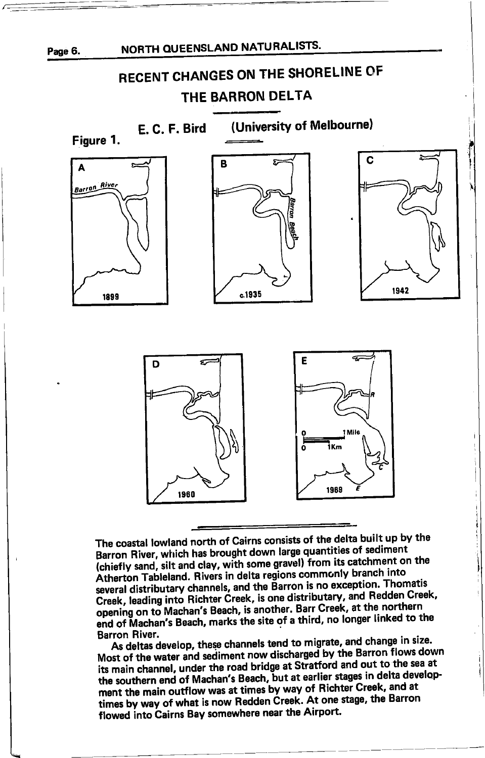

## RECENT CHANGES ON THE \$HORELINE OF THE BARRON DELTA

(University of Melbourne) E. C. F. Bird Figure 1. C Σ B Á Barron River 1942 c.1935 r89gE D **AIL** ikm 1969 1960

The coastal lowland north of Gairns consists of the delta built up by the Barron River, which has brought down large quantities of sediment (chiefly sand, silt and clay, with some gravel) from its catchment on the Atherton Tableland. Rivers in delta regions commonly branch into Atherton Tableland. Hivers in delta regions commonly explore. Thomatis<br>several distributary channels, and the Barron is no exception. Thomatis Creek, leading into Richter Creek, is one distributary, and Redden Creek, opening on to Machan's Beach, is another. Barr Creek, at the northern end of Machan's Beach, marks the site of a third, no longer linked to the<br>Barron River.

As deltas develop, these channels tend to migrate, and change in size. Most of the water and sediment now discharged by the Barron flows down its main channel, under the road bridge at Stratford and out to the sea at the southern end of Machan's Beach, but at earlier stages in delta develop-<br>the southern end of Machan's Beach, but at earlier stages in delta development the main outflow was at times by way of Richter Creek, and at times by way of what is now Redden Creek. At one stage, the Barron flowed into Cairns Bay somewhere near the Airport.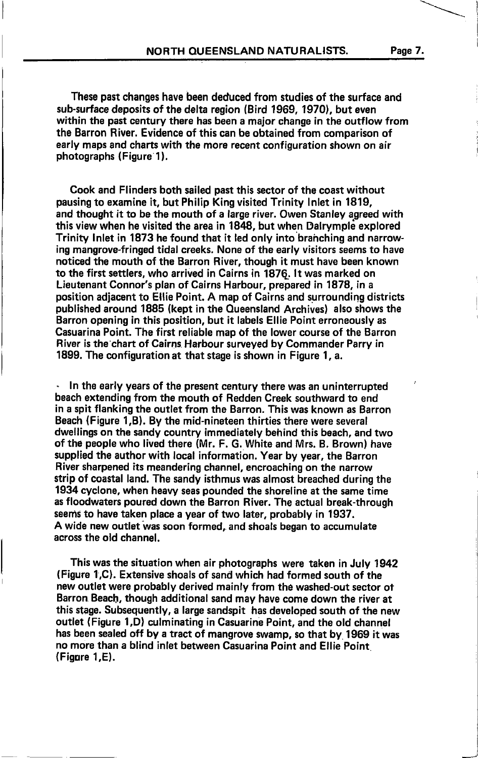These past changes have been deduced from studies of the surface and sub-surface deposits of the delta region (Bird 1969, 1970), but even within the past century there has been a major change in the outflow from the Barron River. Evidence of this can be obtained from comparison of early maps and charts with the more recent configuration shown on air photographs (Figure 1).

Cook and Flinders both sailed past this sector of the coast without pausing to examine it, but Philip King visited Trinity lnlet in 1819, and thought it to be the mouth of a large river. Owen Stanley agreed with this view when he visited the area in 1848, but when Dalrymple explored Trinity Inlet in 1873 he found that it led only into brahching and narrowing mangrove-fringed tidal creeks. None of the early visitors seems to have noticed the mouth of the Barron River, though it must have been known to the first settlers, who arrived in Cairns in 187Q. lt was marked on Lieutenant Connor's plan of Cairns Harbour, prepared in 1878, in <sup>a</sup> position adjacent to Ellie Point. A map of Cairns and surrounding districts published around 1885 (kept in the Oueensland Archives) also shows the Barron opening in this position, but it labels Ellie Point erroneously as Casuarina Point, The first reliable map of the lower course of the Barron River is the'chart of Cairns. Harbour surveyed by Commander Parry in 1899. The configuration at that stage is shown in Figure 1, a.

In the early years of the present century there was an uninterrupted beach extending from the mouth of Redden Creek southward to end in a spit flanking the outlet from the Barron. This was known as Barron Beach (Figure 1,B). By the mid-nineteen thirties there were several dwellings on the sandy country immediately behind this beach, and two of the people who lived there (Mr. F. G. White and Mrs. B. Brown) have supplied the author with local information. Year by year, the Barron River sharpened its meandering channel, encroaching on the narrow strip of coastal land. The sandy isthmus was almost breached during the 1934 cyclone, when heavy seas pounded the shoreline at the same time as floodwaters poured down the Barron River. The actual break-through seems to have taken place a year of two later, probably in 1937. A wide new outlet was soon formed, and shoals began to accumulate across the old channel.

This was the situation when air photographs were taken in July 1942 (Figure 1,C). Extensive shoals of sand which had formed south of the new outlet were probably derived mainly from the washed-out sector of Barron Beach, though additional sand may have come down the river at this stage. Subsequently, a large sandspit has developed south of the new outlet (Figure 1,D) culminating in Casuarine Point, and the old channel has been sealed off by a tract of mangrove swamp, so that by. 1969 it was no more than a blind inlet between Casuarina Point and Ellie Point (Figore 1,E).